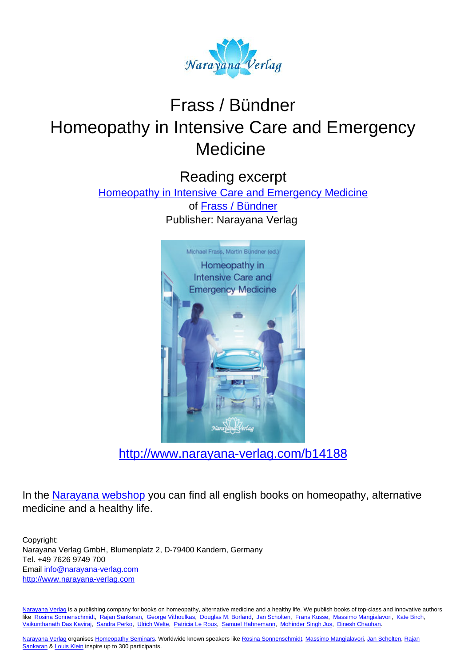

# Frass / Bündner Homeopathy in Intensive Care and Emergency **Medicine**

Reading excerpt

[Homeopathy in Intensive Care and Emergency Medicine](http://www.narayana-verlag.com/Homeopathy-in-Intensive-Care-and-Emergency-Medicine-Michael-Frass-Martin-Buendner/b14188/partner/leseprobe)

of [Frass / Bündner](http://www.narayana-verlag.com/Frass-B-ndner/a1376/partner/leseprobe) Publisher: Narayana Verlag



[http://www.narayana-verlag.com/b14188](http://www.narayana-verlag.com/Homeopathy-in-Intensive-Care-and-Emergency-Medicine-Michael-Frass-Martin-Buendner/b14188/partner/leseprobe)

In the [Narayana webshop](http://www.narayana-verlag.com/partner/leseprobe) you can find all english books on homeopathy, alternative medicine and a healthy life.

Copyright: Narayana Verlag GmbH, Blumenplatz 2, D-79400 Kandern, Germany Tel. +49 7626 9749 700 Email [info@narayana-verlag.com](mailto:info@narayana-verlag.com) [http://www.narayana-verlag.com](http://www.narayana-verlag.com/partner/leseprobe)

[Narayana Verlag](http://www.narayana-verlag.com/partner/leseprobe) is a publishing company for books on homeopathy, alternative medicine and a healthy life. We publish books of top-class and innovative authors like [Rosina Sonnenschmidt,](http://www.narayana-verlag.com/Rosina-Sonnenschmidt/a835/partner/leseprobe) [Rajan Sankaran,](http://www.narayana-verlag.com/Rajan-Sankaran/a747/partner/leseprobe) [George Vithoulkas](http://www.narayana-verlag.com/George-Vithoulkas/a917/partner/leseprobe), [Douglas M. Borland](http://www.narayana-verlag.com/Douglas-M-Borland/a86/partner/leseprobe), [Jan Scholten,](http://www.narayana-verlag.com/Jan-Scholten/a777/partner/leseprobe) [Frans Kusse](http://www.narayana-verlag.com/Frans-Kusse/a1305/partner/leseprobe), [Massimo Mangialavori](http://www.narayana-verlag.com/Massimo-Mangialavori/a538/partner/leseprobe), [Kate Birch,](http://www.narayana-verlag.com/Kate-Birch/a1439/partner/leseprobe) [Vaikunthanath Das Kaviraj,](http://www.narayana-verlag.com/Vaikunthanath-Das-Kaviraj/a1476/partner/leseprobe) [Sandra Perko](http://www.narayana-verlag.com/Sandra-Perko/a642/partner/leseprobe), [Ulrich Welte,](http://www.narayana-verlag.com/Ulrich-Welte/a935/partner/leseprobe) [Patricia Le Roux,](http://www.narayana-verlag.com/Patricia-Le-Roux/a1230/partner/leseprobe) [Samuel Hahnemann](http://www.narayana-verlag.com/Samuel-Hahnemann/a329/partner/leseprobe), [Mohinder Singh Jus](http://www.narayana-verlag.com/Mohinder-Singh-Jus/a417/partner/leseprobe), [Dinesh Chauhan](http://www.narayana-verlag.com/Dinesh-Chauhan/a123/partner/leseprobe).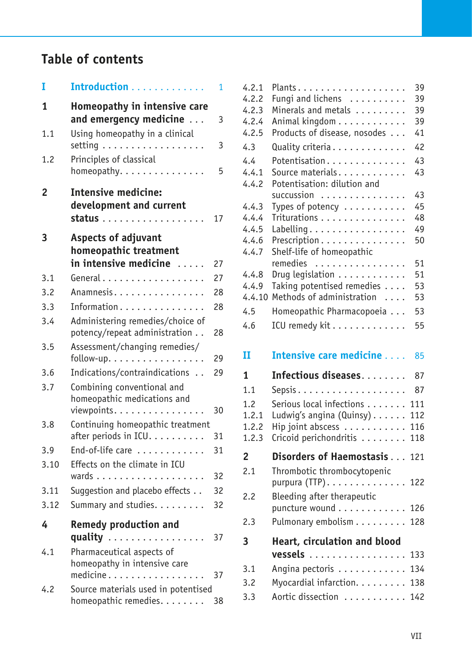## **Table of contents**

| I    | Introduction                                                                   | 1  |
|------|--------------------------------------------------------------------------------|----|
| 1    | Homeopathy in intensive care<br>and emergency medicine                         | 3  |
| 1.1  | Using homeopathy in a clinical<br>setting $\ldots \ldots \ldots \ldots \ldots$ | 3  |
| 1.2  | Principles of classical<br>homeopathy.                                         | 5  |
| 2    | <b>Intensive medicine:</b><br>development and current                          | 17 |
| 3    | <b>Aspects of adjuvant</b><br>homeopathic treatment<br>in intensive medicine   | 27 |
| 3.1  | General                                                                        | 27 |
| 3.2  | Anamnesis.                                                                     | 28 |
| 3.3  | Information                                                                    | 28 |
| 3.4  | Administering remedies/choice of<br>potency/repeat administration              | 28 |
| 3.5  | Assessment/changing remedies/<br>follow-up.                                    | 29 |
| 3.6  | Indications/contraindications                                                  | 29 |
| 3.7  | Combining conventional and<br>homeopathic medications and<br>viewpoints.       | 30 |
| 3.8  | Continuing homeopathic treatment                                               |    |
|      | after periods in ICU.                                                          | 31 |
| 3.9  | End-of-life care                                                               | 31 |
| 3.10 | Effects on the climate in ICU                                                  |    |
|      |                                                                                | 32 |
| 3.11 | Suggestion and placebo effects                                                 | 32 |
| 3.12 | Summary and studies.                                                           | 32 |
| 4    | <b>Remedy production and</b><br>quality<br>$\ldots$                            | 37 |
| 4.1  | Pharmaceutical aspects of<br>homeopathy in intensive care<br>medicine          | 37 |
| 4.2  | Source materials used in potentised<br>homeopathic remedies.                   | 38 |

| 4.2.1          | Plants.                                          | 39  |
|----------------|--------------------------------------------------|-----|
| 4.2.2          | Fungi and lichens                                | 39  |
| 4.2.3          | Minerals and metals                              | 39  |
| 4.2.4          | Animal kingdom                                   | 39  |
| 4.2.5          | Products of disease, nosodes                     | 41  |
| 4.3            | Quality criteria                                 | 42  |
| 4.4            | Potentisation                                    | 43  |
| 4.4.1          | Source materials.                                | 43  |
| 4.4.2          | Potentisation: dilution and                      |     |
|                | succussion                                       | 43  |
| 4.4.3          | Types of potency                                 | 45  |
| 4.4.4          | Triturations                                     | 48  |
| 4.4.5          | Labelling                                        | 49  |
| 4.4.6          | Prescription                                     | 50  |
| 4.4.7          | Shelf-life of homeopathic                        |     |
|                | remedies                                         | 51  |
| 4.4.8          | Drug legislation                                 | 51  |
| 4.4.9          | Taking potentised remedies                       | 53  |
| 4.4.10         | Methods of administration                        | 53  |
| 4.5            | Homeopathic Pharmacopoeia                        | 53  |
| 4.6            | ICU remedy kit                                   | 55  |
|                |                                                  |     |
|                |                                                  |     |
| п              | Intensive care medicine                          | 85  |
| 1              | Infectious diseases                              | 87  |
| 1.1            |                                                  | 87  |
|                |                                                  |     |
| 1.2            | Serious local infections                         | 111 |
| 1.2.1          | Ludwig's angina $(Quinsy) \ldots \ldots$         | 112 |
| 1.2.2          | Hip joint abscess                                | 116 |
| 1.2.3          | Cricoid perichondritis                           | 118 |
| $\overline{2}$ | Disorders of Haemostasis                         | 121 |
| 2.1            | Thrombotic thrombocytopenic                      |     |
|                | purpura $(TTP)$                                  | 122 |
| 2.2            |                                                  |     |
|                | Bleeding after therapeutic                       |     |
|                | puncture wound $\ldots \ldots \ldots \ldots$ 126 |     |
| 2.3            | Pulmonary embolism                               | 128 |
| 3              | Heart, circulation and blood                     |     |
|                | vessels                                          | 133 |
| 3.1            | Angina pectoris                                  | 134 |
| 3.2            | Myocardial infarction.                           | 138 |
| 3.3            | Aortic dissection                                | 142 |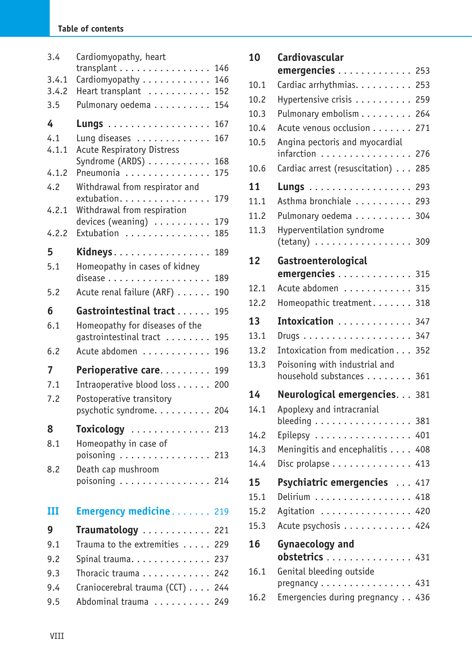## **Table of contents**

| 3.4            | Cardiomyopathy, heart                                |
|----------------|------------------------------------------------------|
|                | transplant<br>146                                    |
| 3.4.1<br>3.4.2 | Cardiomyopathy<br>146<br>Heart transplant<br>152     |
| 3.5            | Pulmonary oedema<br>154                              |
| 4              | 167                                                  |
| 4.1            | Lung diseases<br>167                                 |
| 4.1.1          | <b>Acute Respiratory Distress</b>                    |
|                | Syndrome (ARDS)<br>168                               |
| 4.1.2          | Pneumonia<br>175                                     |
| 4.2            | Withdrawal from respirator and<br>extubation.<br>179 |
| 4.2.1          | Withdrawal from respiration                          |
|                | 179<br>devices (weaning)                             |
| 4.2.2          | Extubation<br>185                                    |
| 5              | Kidneys<br>189                                       |
| 5.1            | Homeopathy in cases of kidney                        |
|                | 189                                                  |
| 5.2            | Acute renal failure (ARF)<br>190                     |
| 6              | Gastrointestinal tract<br>195                        |
| 6.1            | Homeopathy for diseases of the                       |
|                | gastrointestinal tract<br>195                        |
| 6.2            | Acute abdomen<br>196                                 |
| 7              | Perioperative care<br>199                            |
| 7.1            | Intraoperative blood loss<br>200                     |
| 7.2            | Postoperative transitory                             |
|                |                                                      |
|                | psychotic syndrome. 204                              |
| 8              | Toxicology  213                                      |
| 8.1            | Homeopathy in case of                                |
|                | poisoning 213                                        |
| 8.2            | Death cap mushroom                                   |
|                | poisoning $\ldots \ldots \ldots \ldots$ 214          |
| ш              | <b>Emergency medicine 219</b>                        |
| 9              | Traumatology<br>.221                                 |
| 9.1            | Trauma to the extremities 229                        |
| 9.2            | Spinal trauma. 237                                   |
| 9.3            | Thoracic trauma<br>242                               |
| 9.4            | Craniocerebral trauma (CCT) 244                      |
| 9.5            | Abdominal trauma 249                                 |

| 10   | Cardiovascular                                            | 253 |
|------|-----------------------------------------------------------|-----|
|      | emergencies                                               |     |
| 10.1 | Cardiac arrhythmias.                                      | 253 |
| 10.2 | Hypertensive crisis                                       | 259 |
| 10.3 | Pulmonary embolism                                        | 264 |
| 10.4 | Acute venous occlusion                                    | 271 |
| 10.5 | Angina pectoris and myocardial<br>infarction              | 276 |
| 10.6 | Cardiac arrest (resuscitation)                            | 285 |
| 11   | Lungs                                                     | 293 |
| 11.1 | Asthma bronchiale                                         | 293 |
| 11.2 | Pulmonary oedema                                          | 304 |
| 11.3 | Hyperventilation syndrome<br>$(tetany)$ 309               |     |
| 12   | Gastroenterological                                       |     |
|      | emergencies                                               | 315 |
| 12.1 | Acute abdomen                                             | 315 |
| 12.2 | Homeopathic treatment.                                    | 318 |
| 13   | Intoxication                                              | 347 |
| 13.1 |                                                           | 347 |
| 13.2 | Intoxication from medication                              | 352 |
| 13.3 | Poisoning with industrial and<br>household substances 361 |     |
| 14   | Neurological emergencies. 381                             |     |
| 14.1 | Apoplexy and intracranial                                 |     |
|      | bleeding $\dots\dots\dots\dots\dots\dots$                 | 381 |
| 14.2 | Epilepsy                                                  | 401 |
| 14.3 | Meningitis and encephalitis                               | 408 |
| 14.4 | Disc prolapse 413                                         |     |
| 15   | Psychiatric emergencies  417                              |     |
| 15.1 | Delirium                                                  | 418 |
| 15.2 | Agitation 420                                             |     |
| 15.3 | Acute psychosis 424                                       |     |
| 16   | <b>Gynaecology and</b><br>obstetrics<br>. 431             |     |
| 16.1 | Genital bleeding outside                                  |     |
|      | $pregnancy \ldots \ldots \ldots \ldots \ldots 431$        |     |
| 16.2 | Emergencies during pregnancy 436                          |     |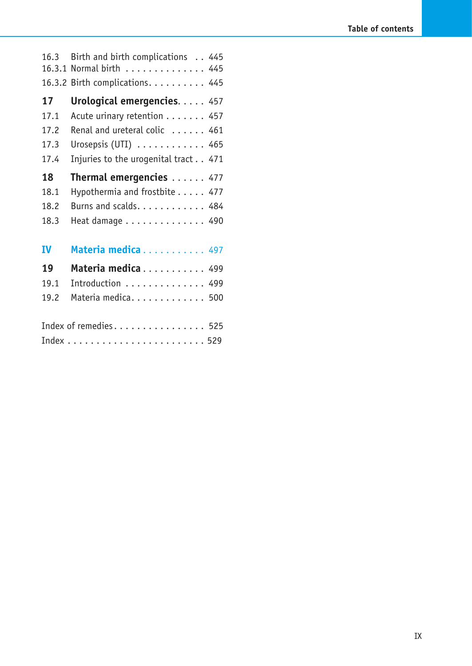|           | Index of remedies 525                             |
|-----------|---------------------------------------------------|
| 19.2      | Materia medica 500                                |
| 19.1      | Introduction  499                                 |
| 19        | Materia medica 499                                |
| <b>IV</b> | Materia medica 497                                |
| 18.3      | Heat damage 490                                   |
| 18.2      | Burns and scalds. 484                             |
| 18.1      | Hypothermia and frostbite 477                     |
| 18        | Thermal emergencies 477                           |
| 17.4      | Injuries to the urogenital tract 471              |
| 17.3      | Urosepsis (UTI) $\ldots \ldots \ldots \ldots$ 465 |
| 17.2      | Renal and ureteral colic  461                     |
| 17.1      | Acute urinary retention 457                       |
| 17        | Urological emergencies. 457                       |
|           | 16.3.2 Birth complications. 445                   |
| 16.3.1    | Normal birth 445                                  |
| 16.3      | Birth and birth complications 445                 |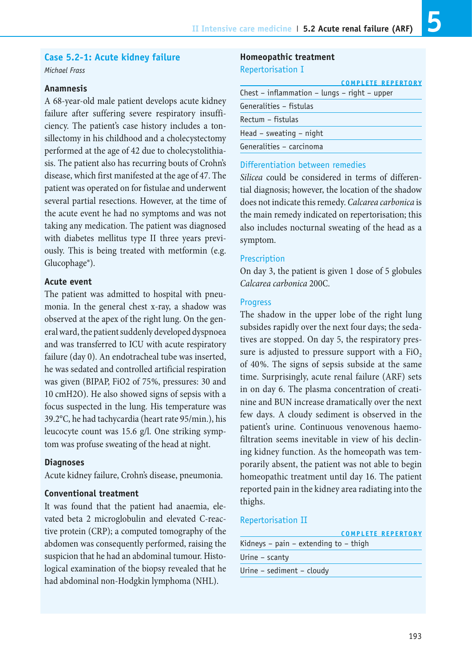#### **Case 5.2-1: Acute kidney failure**

*Michael Frass*

## **Anamnesis**

A 68-year-old male patient develops acute kidney failure after suffering severe respiratory insufficiency. The patient's case history includes a tonsillectomy in his childhood and a cholecystectomy performed at the age of 42 due to cholecystolithiasis. The patient also has recurring bouts of Crohn's disease, which first manifested at the age of 47. The patient was operated on for fistulae and underwent several partial resections. However, at the time of the acute event he had no symptoms and was not taking any medication. The patient was diagnosed with diabetes mellitus type II three years previously. This is being treated with metformin (e.g. Glucophage®).

## **Acute event**

The patient was admitted to hospital with pneumonia. In the general chest x-ray, a shadow was observed at the apex of the right lung. On the general ward, the patient suddenly developed dyspnoea and was transferred to ICU with acute respiratory failure (day 0). An endotracheal tube was inserted, he was sedated and controlled artificial respiration was given (BIPAP, FiO2 of 75%, pressures: 30 and 10 cmH2O). He also showed signs of sepsis with a focus suspected in the lung. His temperature was 39.2°C, he had tachycardia (heart rate 95/min.), his leucocyte count was 15.6 g/l. One striking symptom was profuse sweating of the head at night.

## **Diagnoses**

Acute kidney failure, Crohn's disease, pneumonia.

## **Conventional treatment**

It was found that the patient had anaemia, elevated beta 2 microglobulin and elevated C-reactive protein (CRP); a computed tomography of the abdomen was consequently performed, raising the suspicion that he had an abdominal tumour. Histological examination of the biopsy revealed that he had abdominal non-Hodgkin lymphoma (NHL).

## **Homeopathic treatment** Repertorisation I

|                                              | <b>COMPLETE REPERTORY</b> |
|----------------------------------------------|---------------------------|
| Chest – inflammation – lungs – right – upper |                           |
| Generalities - fistulas                      |                           |
| Rectum - fistulas                            |                           |
| Head $-$ sweating $-$ night                  |                           |
| Generalities - carcinoma                     |                           |

## Differentiation between remedies

*Silicea* could be considered in terms of differential diagnosis; however, the location of the shadow does not indicate this remedy. *Calcarea carbonica* is the main remedy indicated on repertorisation; this also includes nocturnal sweating of the head as a symptom.

#### Prescription

On day 3, the patient is given 1 dose of 5 globules *Calcarea carbonica* 200C.

#### Progress

The shadow in the upper lobe of the right lung subsides rapidly over the next four days; the sedatives are stopped. On day 5, the respiratory pressure is adjusted to pressure support with a  $FiO<sub>2</sub>$ of 40%. The signs of sepsis subside at the same time. Surprisingly, acute renal failure (ARF) sets in on day 6. The plasma concentration of creatinine and BUN increase dramatically over the next few days. A cloudy sediment is observed in the patient's urine. Continuous venovenous haemofiltration seems inevitable in view of his declining kidney function. As the homeopath was temporarily absent, the patient was not able to begin homeopathic treatment until day 16. The patient reported pain in the kidney area radiating into the thighs.

#### Repertorisation II

|                                       | <b>COMPLETE REPERTORY</b> |
|---------------------------------------|---------------------------|
| Kidneys – pain – extending to – thigh |                           |
| Urine $-$ scanty                      |                           |
| Urine $-$ sediment $-$ cloudy         |                           |
|                                       |                           |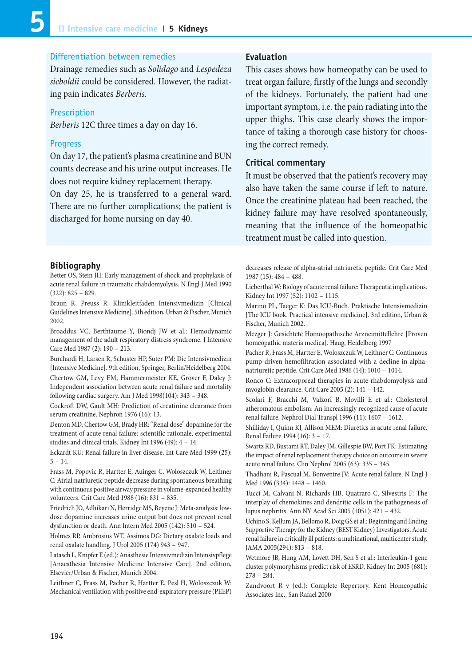## Differentiation between remedies

Drainage remedies such as *Solidago* and *Lespedeza sieboldii* could be considered. However, the radiating pain indicates *Berberis.*

#### Prescription

*Berberis* 12C three times a day on day 16.

#### Progress

On day 17, the patient's plasma creatinine and BUN counts decrease and his urine output increases. He does not require kidney replacement therapy.

On day 25, he is transferred to a general ward. There are no further complications; the patient is discharged for home nursing on day 40.

#### **Bibliography**

Better OS, Stein JH: Early management of shock and prophylaxis of acute renal failure in traumatic rhabdomyolysis. N Engl J Med 1990 (322): 825 – 829.

Braun R, Preuss R: Klinikleitfaden Intensivmedizin [Clinical Guidelines Intensive Medicine]. 5th edition, Urban & Fischer, Munich 2002.

Broaddus VC, Berthiaume Y, Biondj JW et al.: Hemodynamic management of the adult respiratory distress syndrome. J Intensive Care Med 1987 (2): 190 – 213.

Burchardi H, Larsen R, Schuster HP, Suter PM: Die Intensivmedizin [Intensive Medicine]. 9th edition, Springer, Berlin/Heidelberg 2004. Chertow GM, Levy EM, Hammermeister KE, Grover F, Daley J: Independent association between acute renal failure and mortality following cardiac surgery. Am J Med 1998(104): 343 – 348.

Cockroft DW, Gault MH: Prediction of creatinine clearance from serum creatinine. Nephron 1976 (16): 13.

Denton MD, Chertow GM, Brady HR: "Renal dose" dopamine for the treatment of acute renal failure: scientific rationale, experimental studies and clinical trials. Kidney Int 1996 (49): 4 – 14.

Eckardt KU: Renal failure in liver disease. Int Care Med 1999 (25):  $5 - 14$ 

Frass M, Popovic R, Hartter E, Auinger C, Woloszczuk W, Leithner C: Atrial natriuretic peptide decrease during spontaneous breathing with continuous positive airway pressure in volume-expanded healthy volunteers. Crit Care Med 1988 (16): 831 – 835.

Friedrich JO, Adhikari N, Herridge MS, Beyene J: Meta-analysis: lowdose dopamine increases urine output but does not prevent renal dysfunction or death. Ann Intern Med 2005 (142): 510 – 524.

Holmes RP, Ambrosius WT, Assimos DG: Dietary oxalate loads and renal oxalate handling. J Urol 2005 (174) 943 – 947.

Latasch L, Knipfer E (ed.): Anästhesie Intensivmedizin Intensivpflege [Anaesthesia Intensive Medicine Intensive Care]. 2nd edition, Elsevier/Urban & Fischer, Munich 2004.

Leithner C, Frass M, Pacher R, Hartter E, Pesl H, Woloszczuk W: Mechanical ventilation with positive end-expiratory pressure (PEEP)

## **Evaluation**

This cases shows how homeopathy can be used to treat organ failure, firstly of the lungs and secondly of the kidneys. Fortunately, the patient had one important symptom, i.e. the pain radiating into the upper thighs. This case clearly shows the importance of taking a thorough case history for choosing the correct remedy.

#### **Critical commentary**

It must be observed that the patient's recovery may also have taken the same course if left to nature. Once the creatinine plateau had been reached, the kidney failure may have resolved spontaneously, meaning that the influence of the homeopathic treatment must be called into question.

decreases release of alpha-atrial natriuretic peptide. Crit Care Med 1987 (15): 484 – 488.

Lieberthal W: Biology of acute renal failure: Therapeutic implications. Kidney Int 1997 (52): 1102 – 1115.

Marino PL, Taeger K: Das ICU-Buch. Praktische Intensivmedizin [The ICU book. Practical intensive medicine]. 3rd edition, Urban & Fischer, Munich 2002.

Mezger J: Gesichtete Homöopathische Arzneimittellehre [Proven homeopathic materia medica]. Haug, Heidelberg 1997

Pacher R, Frass M, Hartter E, Woloszczuk W, Leithner C: Continuous pump-driven hemofiltration associated with a decline in alphanatriuretic peptide. Crit Care Med 1986 (14): 1010 – 1014.

Ronco C: Extracorporeal therapies in acute rhabdomyolysis and myoglobin clearance. Crit Care 2005 (2): 141 – 142.

Scolari F, Bracchi M, Valzori B, Movilli E et al.: Cholesterol atheromatous embolism: An increasingly recognized cause of acute renal failure. Nephrol Dial Transpl 1996 (11): 1607 – 1612.

Shilliday I, Quinn KJ, Allison MEM: Diuretics in acute renal failure. Renal Failure 1994 (16): 3 – 17.

Swartz RD, Bustami RT, Daley JM, Gillespie BW, Port FK: Estimating the impact of renal replacement therapy choice on outcome in severe acute renal failure. Clin Nephrol 2005 (63): 335 – 345.

Thadhani R, Pascual M, Bonventre JV: Acute renal failure. N Engl J Med 1996 (334): 1448 – 1460.

Tucci M, Calvani N, Richards HB, Quatraro C, Silvestris F: The interplay of chemokines and dendritic cells in the pathogenesis of lupus nephritis. Ann NY Acad Sci 2005 (1051): 421 – 432.

Uchino S, Kellum JA, Bellomo R, Doig GS et al.: Beginning and Ending Supportive Therapy for the Kidney (BEST Kidney) Investigators. Acute renal failure in critically ill patients: a multinational, multicenter study. JAMA 2005(294): 813 – 818.

Wetmore JB, Hung AM, Lovett DH, Sen S et al.: Interleukin-1 gene cluster polymorphisms predict risk of ESRD. Kidney Int 2005 (681): 278 – 284.

Zandvoort R v (ed.): Complete Repertory. Kent Homeopathic Associates Inc., San Rafael 2000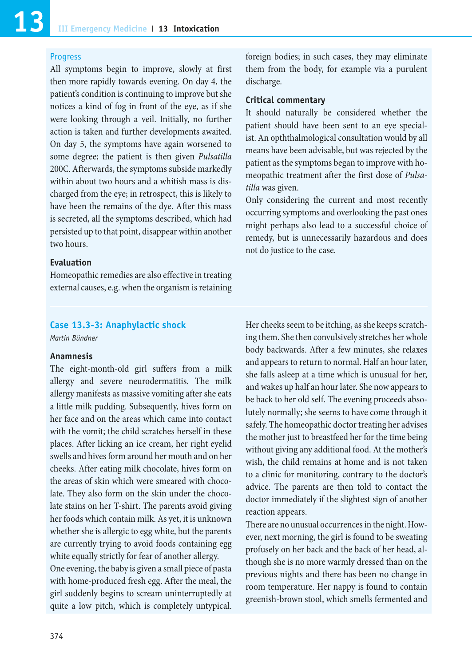## **Progress**

All symptoms begin to improve, slowly at first then more rapidly towards evening. On day 4, the patient's condition is continuing to improve but she notices a kind of fog in front of the eye, as if she were looking through a veil. Initially, no further action is taken and further developments awaited. On day 5, the symptoms have again worsened to some degree; the patient is then given *Pulsatilla* 200C. Afterwards, the symptoms subside markedly within about two hours and a whitish mass is discharged from the eye; in retrospect, this is likely to have been the remains of the dye. After this mass is secreted, all the symptoms described, which had persisted up to that point, disappear within another two hours.

## **Evaluation**

Homeopathic remedies are also effective in treating external causes, e.g. when the organism is retaining

## **Case 13.3-3: Anaphylactic shock**

*Martin Bündner*

## **Anamnesis**

The eight-month-old girl suffers from a milk allergy and severe neurodermatitis. The milk allergy manifests as massive vomiting after she eats a little milk pudding. Subsequently, hives form on her face and on the areas which came into contact with the vomit; the child scratches herself in these places. After licking an ice cream, her right eyelid swells and hives form around her mouth and on her cheeks. After eating milk chocolate, hives form on the areas of skin which were smeared with chocolate. They also form on the skin under the chocolate stains on her T-shirt. The parents avoid giving her foods which contain milk. As yet, it is unknown whether she is allergic to egg white, but the parents are currently trying to avoid foods containing egg white equally strictly for fear of another allergy.

One evening, the baby is given a small piece of pasta with home-produced fresh egg. After the meal, the girl suddenly begins to scream uninterruptedly at quite a low pitch, which is completely untypical.

foreign bodies; in such cases, they may eliminate them from the body, for example via a purulent discharge.

## **Critical commentary**

It should naturally be considered whether the patient should have been sent to an eye specialist. An opththalmological consultation would by all means have been advisable, but was rejected by the patient as the symptoms began to improve with homeopathic treatment after the first dose of *Pulsatilla* was given.

Only considering the current and most recently occurring symptoms and overlooking the past ones might perhaps also lead to a successful choice of remedy, but is unnecessarily hazardous and does not do justice to the case.

Her cheeks seem to be itching, as she keeps scratching them. She then convulsively stretches her whole body backwards. After a few minutes, she relaxes and appears to return to normal. Half an hour later, she falls asleep at a time which is unusual for her, and wakes up half an hour later. She now appears to be back to her old self. The evening proceeds absolutely normally; she seems to have come through it safely. The homeopathic doctor treating her advises the mother just to breastfeed her for the time being without giving any additional food. At the mother's wish, the child remains at home and is not taken to a clinic for monitoring, contrary to the doctor's advice. The parents are then told to contact the doctor immediately if the slightest sign of another reaction appears.

There are no unusual occurrences in the night. However, next morning, the girl is found to be sweating profusely on her back and the back of her head, although she is no more warmly dressed than on the previous nights and there has been no change in room temperature. Her nappy is found to contain greenish-brown stool, which smells fermented and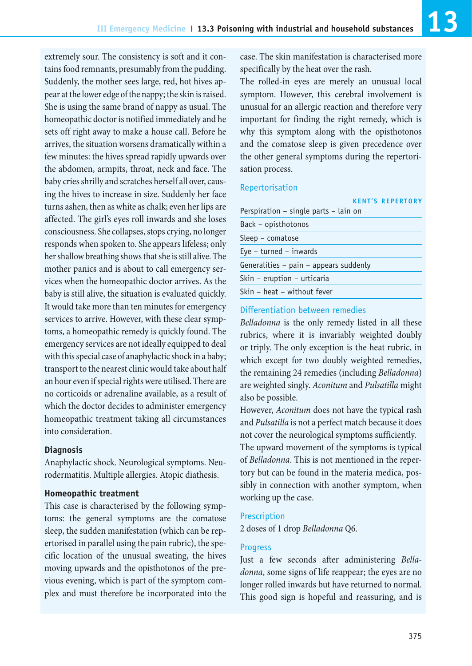extremely sour. The consistency is soft and it contains food remnants, presumably from the pudding. Suddenly, the mother sees large, red, hot hives appear at the lower edge of the nappy; the skin is raised. She is using the same brand of nappy as usual. The homeopathic doctor is notified immediately and he sets off right away to make a house call. Before he arrives, the situation worsens dramatically within a few minutes: the hives spread rapidly upwards over the abdomen, armpits, throat, neck and face. The baby cries shrilly and scratches herself all over, causing the hives to increase in size. Suddenly her face turns ashen, then as white as chalk; even her lips are affected. The girl's eyes roll inwards and she loses consciousness. She collapses, stops crying, no longer responds when spoken to. She appears lifeless; only her shallow breathing shows that she is still alive. The mother panics and is about to call emergency services when the homeopathic doctor arrives. As the baby is still alive, the situation is evaluated quickly. It would take more than ten minutes for emergency services to arrive. However, with these clear symptoms, a homeopathic remedy is quickly found. The emergency services are not ideally equipped to deal with this special case of anaphylactic shock in a baby; transport to the nearest clinic would take about half an hour even if special rights were utilised. There are no corticoids or adrenaline available, as a result of which the doctor decides to administer emergency homeopathic treatment taking all circumstances into consideration.

## **Diagnosis**

Anaphylactic shock. Neurological symptoms. Neurodermatitis. Multiple allergies. Atopic diathesis.

## **Homeopathic treatment**

This case is characterised by the following symptoms: the general symptoms are the comatose sleep, the sudden manifestation (which can be repertorised in parallel using the pain rubric), the specific location of the unusual sweating, the hives moving upwards and the opisthotonos of the previous evening, which is part of the symptom complex and must therefore be incorporated into the

case. The skin manifestation is characterised more specifically by the heat over the rash.

The rolled-in eyes are merely an unusual local symptom. However, this cerebral involvement is unusual for an allergic reaction and therefore very important for finding the right remedy, which is why this symptom along with the opisthotonos and the comatose sleep is given precedence over the other general symptoms during the repertorisation process.

## Repertorisation

| <b>KENT'S REPERTORY</b>                    |  |
|--------------------------------------------|--|
| Perspiration - single parts - lain on      |  |
| Back - opisthotonos                        |  |
| Sleep – comatose                           |  |
| $Eve - turned - inwards$                   |  |
| Generalities $-$ pain $-$ appears suddenly |  |
| Skin - eruption - urticaria                |  |
| Skin - heat - without fever                |  |

## Differentiation between remedies

*Belladonna* is the only remedy listed in all these rubrics, where it is invariably weighted doubly or triply. The only exception is the heat rubric, in which except for two doubly weighted remedies, the remaining 24 remedies (including *Belladonna*) are weighted singly. *Aconitum* and *Pulsatilla* might also be possible.

However, *Aconitum* does not have the typical rash and *Pulsatilla* is not a perfect match because it does not cover the neurological symptoms sufficiently. The upward movement of the symptoms is typical of *Belladonna*. This is not mentioned in the repertory but can be found in the materia medica, possibly in connection with another symptom, when working up the case.

## Prescription

2 doses of 1 drop *Belladonna* Q6.

## Progress

Just a few seconds after administering *Belladonna*, some signs of life reappear; the eyes are no longer rolled inwards but have returned to normal. This good sign is hopeful and reassuring, and is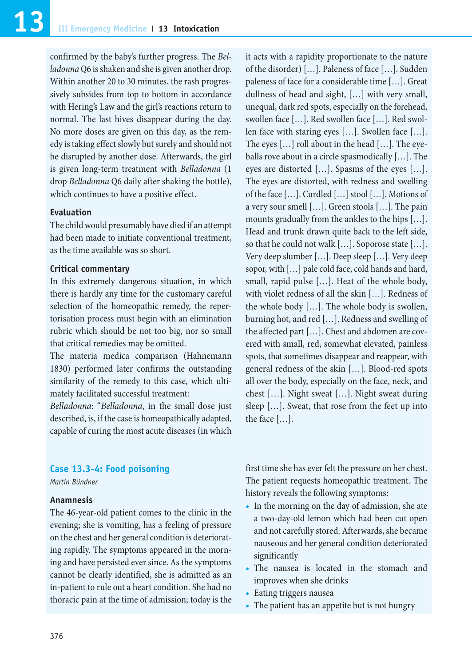confirmed by the baby's further progress. The *Belladonna* Q6 is shaken and she is given another drop. Within another 20 to 30 minutes, the rash progressively subsides from top to bottom in accordance with Hering's Law and the girl's reactions return to normal. The last hives disappear during the day. No more doses are given on this day, as the remedy is taking effect slowly but surely and should not be disrupted by another dose. Afterwards, the girl is given long-term treatment with *Belladonna* (1 drop *Belladonna* Q6 daily after shaking the bottle), which continues to have a positive effect.

## **Evaluation**

The child would presumably have died if an attempt had been made to initiate conventional treatment, as the time available was so short.

## **Critical commentary**

In this extremely dangerous situation, in which there is hardly any time for the customary careful selection of the homeopathic remedy, the repertorisation process must begin with an elimination rubric which should be not too big, nor so small that critical remedies may be omitted.

The materia medica comparison (Hahnemann 1830) performed later confirms the outstanding similarity of the remedy to this case, which ultimately facilitated successful treatment:

*Belladonna*: "*Belladonna*, in the small dose just described, is, if the case is homeopathically adapted, capable of curing the most acute diseases (in which

it acts with a rapidity proportionate to the nature of the disorder) […]. Paleness of face […]. Sudden paleness of face for a considerable time […]. Great dullness of head and sight, […] with very small, unequal, dark red spots, especially on the forehead, swollen face […]. Red swollen face […]. Red swollen face with staring eyes […]. Swollen face […]. The eyes […] roll about in the head […]. The eyeballs rove about in a circle spasmodically […]. The eyes are distorted […]. Spasms of the eyes […]. The eyes are distorted, with redness and swelling of the face […]. Curdled […] stool […]. Motions of a very sour smell […]. Green stools […]. The pain mounts gradually from the ankles to the hips […]. Head and trunk drawn quite back to the left side, so that he could not walk […]. Soporose state […]. Very deep slumber […]. Deep sleep […]. Very deep sopor, with […] pale cold face, cold hands and hard, small, rapid pulse […]. Heat of the whole body, with violet redness of all the skin […]. Redness of the whole body […]. The whole body is swollen, burning hot, and red […]. Redness and swelling of the affected part […]. Chest and abdomen are covered with small, red, somewhat elevated, painless spots, that sometimes disappear and reappear, with general redness of the skin […]. Blood-red spots all over the body, especially on the face, neck, and chest […]. Night sweat […]. Night sweat during sleep […]. Sweat, that rose from the feet up into the face […].

## **Case 13.3-4: Food poisoning**

*Martin Bündner*

## **Anamnesis**

The 46-year-old patient comes to the clinic in the evening; she is vomiting, has a feeling of pressure on the chest and her general condition is deteriorating rapidly. The symptoms appeared in the morning and have persisted ever since. As the symptoms cannot be clearly identified, she is admitted as an in-patient to rule out a heart condition. She had no thoracic pain at the time of admission; today is the first time she has ever felt the pressure on her chest. The patient requests homeopathic treatment. The history reveals the following symptoms:

- **•** In the morning on the day of admission, she ate a two-day-old lemon which had been cut open and not carefully stored. Afterwards, she became nauseous and her general condition deteriorated significantly
- **•** The nausea is located in the stomach and improves when she drinks
- **•** Eating triggers nausea
- **•** The patient has an appetite but is not hungry